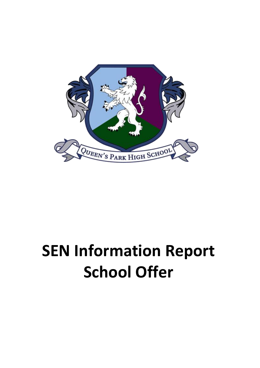

## **SEN Information Report School Offer**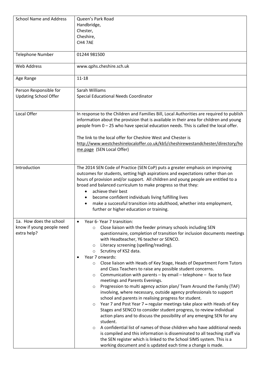| <b>School Name and Address</b>                         | Queen's Park Road                                                                                                                                                                                                                                                                                                     |
|--------------------------------------------------------|-----------------------------------------------------------------------------------------------------------------------------------------------------------------------------------------------------------------------------------------------------------------------------------------------------------------------|
|                                                        | Handbridge,                                                                                                                                                                                                                                                                                                           |
|                                                        | Chester,                                                                                                                                                                                                                                                                                                              |
|                                                        | Cheshire,                                                                                                                                                                                                                                                                                                             |
|                                                        | CH4 7AE                                                                                                                                                                                                                                                                                                               |
|                                                        |                                                                                                                                                                                                                                                                                                                       |
| <b>Telephone Number</b>                                | 01244 981500                                                                                                                                                                                                                                                                                                          |
|                                                        |                                                                                                                                                                                                                                                                                                                       |
| <b>Web Address</b>                                     | www.qphs.cheshire.sch.uk                                                                                                                                                                                                                                                                                              |
| Age Range                                              | $11 - 18$                                                                                                                                                                                                                                                                                                             |
| Person Responsible for<br><b>Updating School Offer</b> | Sarah Williams<br>Special Educational Needs Coordinator                                                                                                                                                                                                                                                               |
|                                                        |                                                                                                                                                                                                                                                                                                                       |
| Local Offer                                            | In response to the Children and Families Bill, Local Authorities are required to publish<br>information about the provision that is available in their area for children and young<br>people from 0 - 25 who have special education needs. This is called the local offer.                                            |
|                                                        | The link to the local offer for Cheshire West and Chester is<br>http://www.westcheshirelocaloffer.co.uk/kb5/cheshirewestandchester/directory/ho                                                                                                                                                                       |
|                                                        | me.page (SEN Local Offer)                                                                                                                                                                                                                                                                                             |
| Introduction                                           | The 2014 SEN Code of Practice (SEN CoP) puts a greater emphasis on improving<br>outcomes for students, setting high aspirations and expectations rather than on<br>hours of provision and/or support. All children and young people are entitled to a<br>broad and balanced curriculum to make progress so that they: |
|                                                        | achieve their best                                                                                                                                                                                                                                                                                                    |
|                                                        | become confident individuals living fulfilling lives<br>٠                                                                                                                                                                                                                                                             |
|                                                        | make a successful transition into adulthood, whether into employment,<br>further or higher education or training.                                                                                                                                                                                                     |
| 1a. How does the school                                | Year 6- Year 7 transition:<br>$\bullet$                                                                                                                                                                                                                                                                               |
| know if young people need<br>extra help?               | Close liaison with the feeder primary schools including SEN<br>$\circ$<br>questionnaire, completion of transition for inclusion documents meetings<br>with Headteacher, Y6 teacher or SENCO.                                                                                                                          |
|                                                        | Literacy screening (spelling/reading).<br>$\circ$                                                                                                                                                                                                                                                                     |
|                                                        | Scrutiny of KS2 data.<br>$\circ$                                                                                                                                                                                                                                                                                      |
|                                                        | Year 7 onwards:                                                                                                                                                                                                                                                                                                       |
|                                                        | Close liaison with Heads of Key Stage, Heads of Department Form Tutors<br>$\circ$<br>and Class Teachers to raise any possible student concerns.                                                                                                                                                                       |
|                                                        | Communication with parents - by email - telephone - face to face<br>$\circ$                                                                                                                                                                                                                                           |
|                                                        | meetings and Parents Evenings.                                                                                                                                                                                                                                                                                        |
|                                                        | Progression to multi agency action plan/ Team Around the Family (TAF)<br>$\circ$                                                                                                                                                                                                                                      |
|                                                        | involving, where necessary, outside agency professionals to support                                                                                                                                                                                                                                                   |
|                                                        | school and parents in realising progress for student.                                                                                                                                                                                                                                                                 |
|                                                        | Year 7 and Post Year 7 - regular meetings take place with Heads of Key<br>$\circ$                                                                                                                                                                                                                                     |
|                                                        | Stages and SENCO to consider student progress, to review individual<br>action plans and to discuss the possibility of any emerging SEN for any                                                                                                                                                                        |
|                                                        | student.                                                                                                                                                                                                                                                                                                              |
|                                                        | A confidential list of names of those children who have additional needs<br>$\circ$                                                                                                                                                                                                                                   |
|                                                        | is compiled and this information is disseminated to all teaching staff via                                                                                                                                                                                                                                            |
|                                                        | the SEN register which is linked to the School SIMS system. This is a                                                                                                                                                                                                                                                 |
|                                                        | working document and is updated each time a change is made.                                                                                                                                                                                                                                                           |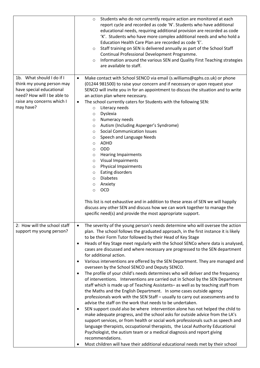|                                                                                                                                                              | Students who do not currently require action are monitored at each<br>$\circ$<br>report cycle and recorded as code 'N'. Students who have additional<br>educational needs, requiring additional provision are recorded as code<br>'K'. Students who have more complex additional needs and who hold a<br>Education Health Care Plan are recorded as code 'E'.<br>Staff training on SEN is delivered annually as part of the School Staff<br>$\circ$<br>Continual Professional Development Programme.<br>Information around the various SEN and Quality First Teaching strategies<br>$\circ$<br>are available to staff.                                                                                                                                                                                                                                                                                                                                                                                                                                                                                                                                                                                                                                                                                                                                                                                                                                                                                                                                                                               |
|--------------------------------------------------------------------------------------------------------------------------------------------------------------|------------------------------------------------------------------------------------------------------------------------------------------------------------------------------------------------------------------------------------------------------------------------------------------------------------------------------------------------------------------------------------------------------------------------------------------------------------------------------------------------------------------------------------------------------------------------------------------------------------------------------------------------------------------------------------------------------------------------------------------------------------------------------------------------------------------------------------------------------------------------------------------------------------------------------------------------------------------------------------------------------------------------------------------------------------------------------------------------------------------------------------------------------------------------------------------------------------------------------------------------------------------------------------------------------------------------------------------------------------------------------------------------------------------------------------------------------------------------------------------------------------------------------------------------------------------------------------------------------|
| 1b. What should I do if I<br>think my young person may<br>have special educational<br>need? How will I be able to<br>raise any concerns which I<br>may have? | Make contact with School SENCO via email (s.williams@qphs.co.uk) or phone<br>$\bullet$<br>(01244 981500) to raise your concern and if necessary or upon request your<br>SENCO will invite you in for an appointment to discuss the situation and to write<br>an action plan where necessary.<br>The school currently caters for Students with the following SEN:<br>$\bullet$<br>Literacy needs<br>$\circ$<br>Dyslexia<br>$\circ$<br>Numeracy needs<br>$\circ$<br>Autism (Including Asperger's Syndrome)<br>$\circ$<br><b>Social Communication Issues</b><br>$\circ$<br>Speech and Language Needs<br>$\circ$<br>ADHD<br>$\circ$<br>ODD<br>$\circ$<br><b>Hearing Impairments</b><br>$\circ$<br>Visual Impairments<br>$\circ$<br><b>Physical Impairments</b><br>$\circ$<br>Eating disorders<br>$\circ$<br><b>Diabetes</b><br>$\circ$<br>Anxiety<br>$\circ$<br><b>OCD</b><br>$\circ$<br>This list is not exhaustive and in addition to these areas of SEN we will happily                                                                                                                                                                                                                                                                                                                                                                                                                                                                                                                                                                                                                               |
|                                                                                                                                                              | discuss any other SEN and discuss how we can work together to manage the<br>specific need(s) and provide the most appropriate support.                                                                                                                                                                                                                                                                                                                                                                                                                                                                                                                                                                                                                                                                                                                                                                                                                                                                                                                                                                                                                                                                                                                                                                                                                                                                                                                                                                                                                                                               |
| 2: How will the school staff<br>support my young person?                                                                                                     | The severity of the young person's needs determine who will oversee the action<br>$\bullet$<br>plan. The school follows the graduated approach, in the first instance it is likely<br>to be their Form Tutor followed by their Head of Key Stage<br>Heads of Key Stage meet regularly with the School SENCo where data is analysed,<br>$\bullet$<br>cases are discussed and where necessary are progressed to the SEN department<br>for additional action.<br>Various interventions are offered by the SEN Department. They are managed and<br>overseen by the School SENCO and Deputy SENCO.<br>The profile of your child's needs determines who will deliver and the frequency<br>of interventions. Interventions are carried out in School by the SEN Department<br>staff which is made up of Teaching Assistants- as well as by teaching staff from<br>the Maths and the English Department. In some cases outside agency<br>professionals work with the SEN Staff - usually to carry out assessments and to<br>advise the staff on the work that needs to be undertaken.<br>SEN support could also be where intervention alone has not helped the child to<br>make adequate progress, and the school asks for outside advice from the LA's<br>support services, or from health or social work professionals such as speech and<br>language therapists, occupational therapists, the Local Authority Educational<br>Psychologist, the autism team or a medical diagnosis and report giving<br>recommendations.<br>Most children will have their additional educational needs met by their school |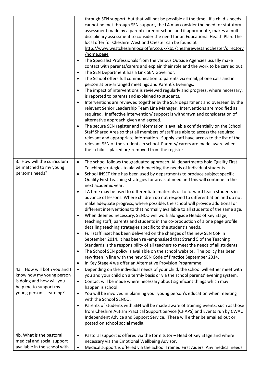|                                                         | through SEN support, but that will not be possible all the time. If a child's needs<br>cannot be met through SEN support, the LA may consider the need for statutory<br>assessment made by a parent/carer or school and if appropriate, makes a multi-<br>disciplinary assessment to consider the need for an Educational Health Plan. The<br>local offer for Cheshire West and Chester can be found at<br>http://www.westcheshirelocaloffer.co.uk/kb5/cheshirewestandchester/directory<br>home.page<br>The Specialist Professionals from the various Outside Agencies usually make<br>contact with parents/carers and explain their role and the work to be carried out.<br>The SEN Department has a Link SEN Governor.<br>$\bullet$<br>The School offers full communication to parents via email, phone calls and in<br>$\bullet$<br>person at pre-arranged meetings and Parent's Evenings.<br>The impact of interventions is reviewed regularly and progress, where necessary,<br>$\bullet$<br>is reported to parents and explained to students.<br>Interventions are reviewed together by the SEN department and overseen by the<br>relevant Senior Leadership Team Line Manager. Interventions are modified as<br>required. Ineffective intervention/ support is withdrawn and consideration of<br>alternative approach given and agreed.<br>The secure SEN register and information is available confidentially on the School<br>Staff Shared Area so that all members of staff are able to access the required<br>relevant and appropriate information. Supply staff have access to the list of the<br>relevant SEN of the students in school. Parents/ carers are made aware when<br>their child is placed on/ removed from the register |
|---------------------------------------------------------|--------------------------------------------------------------------------------------------------------------------------------------------------------------------------------------------------------------------------------------------------------------------------------------------------------------------------------------------------------------------------------------------------------------------------------------------------------------------------------------------------------------------------------------------------------------------------------------------------------------------------------------------------------------------------------------------------------------------------------------------------------------------------------------------------------------------------------------------------------------------------------------------------------------------------------------------------------------------------------------------------------------------------------------------------------------------------------------------------------------------------------------------------------------------------------------------------------------------------------------------------------------------------------------------------------------------------------------------------------------------------------------------------------------------------------------------------------------------------------------------------------------------------------------------------------------------------------------------------------------------------------------------------------------------------------------------------------------------------------------------------|
| 3. How will the curriculum                              | The school follows the graduated approach. All departments hold Quality First<br>$\bullet$                                                                                                                                                                                                                                                                                                                                                                                                                                                                                                                                                                                                                                                                                                                                                                                                                                                                                                                                                                                                                                                                                                                                                                                                                                                                                                                                                                                                                                                                                                                                                                                                                                                       |
| be matched to my young                                  | Teaching strategies to aid with meeting the needs of individual students.                                                                                                                                                                                                                                                                                                                                                                                                                                                                                                                                                                                                                                                                                                                                                                                                                                                                                                                                                                                                                                                                                                                                                                                                                                                                                                                                                                                                                                                                                                                                                                                                                                                                        |
| person's needs?                                         | School INSET time has been used by departments to produce subject specific<br>$\bullet$<br>Quality First Teaching strategies for areas of need and this will continue in the<br>next academic year.                                                                                                                                                                                                                                                                                                                                                                                                                                                                                                                                                                                                                                                                                                                                                                                                                                                                                                                                                                                                                                                                                                                                                                                                                                                                                                                                                                                                                                                                                                                                              |
|                                                         | TA time may be used to differentiate materials or to forward teach students in<br>$\bullet$<br>advance of lessons. Where children do not respond to differentiation and do not<br>make adequate progress, where possible, the school will provide additional or<br>different interventions to that normally available to all students of the same age.                                                                                                                                                                                                                                                                                                                                                                                                                                                                                                                                                                                                                                                                                                                                                                                                                                                                                                                                                                                                                                                                                                                                                                                                                                                                                                                                                                                           |
|                                                         | When deemed necessary, SENCO will work alongside Heads of Key Stage,<br>teaching staff, parents and students in the co-production of a one page profile<br>detailing teaching strategies specific to the student's needs.                                                                                                                                                                                                                                                                                                                                                                                                                                                                                                                                                                                                                                                                                                                                                                                                                                                                                                                                                                                                                                                                                                                                                                                                                                                                                                                                                                                                                                                                                                                        |
|                                                         | Full staff inset has been delivered on the changes of the new SEN CoP in<br>$\bullet$                                                                                                                                                                                                                                                                                                                                                                                                                                                                                                                                                                                                                                                                                                                                                                                                                                                                                                                                                                                                                                                                                                                                                                                                                                                                                                                                                                                                                                                                                                                                                                                                                                                            |
|                                                         | September 2014. It has been re-emphasised that Strand 5 of the Teaching                                                                                                                                                                                                                                                                                                                                                                                                                                                                                                                                                                                                                                                                                                                                                                                                                                                                                                                                                                                                                                                                                                                                                                                                                                                                                                                                                                                                                                                                                                                                                                                                                                                                          |
|                                                         | Standards is the responsibility of all teachers to meet the needs of all students.<br>The School SEN policy is available on the school website. The policy has been<br>$\bullet$                                                                                                                                                                                                                                                                                                                                                                                                                                                                                                                                                                                                                                                                                                                                                                                                                                                                                                                                                                                                                                                                                                                                                                                                                                                                                                                                                                                                                                                                                                                                                                 |
|                                                         | rewritten in line with the new SEN Code of Practice September 2014.                                                                                                                                                                                                                                                                                                                                                                                                                                                                                                                                                                                                                                                                                                                                                                                                                                                                                                                                                                                                                                                                                                                                                                                                                                                                                                                                                                                                                                                                                                                                                                                                                                                                              |
|                                                         | In Key Stage 4 we offer an Alternative Provision Programme.<br>$\bullet$                                                                                                                                                                                                                                                                                                                                                                                                                                                                                                                                                                                                                                                                                                                                                                                                                                                                                                                                                                                                                                                                                                                                                                                                                                                                                                                                                                                                                                                                                                                                                                                                                                                                         |
| 4a. How will both you and I<br>know how my young person | Depending on the individual needs of your child, the school will either meet with<br>$\bullet$<br>you and your child on a termly basis or via the school parents' evening system.                                                                                                                                                                                                                                                                                                                                                                                                                                                                                                                                                                                                                                                                                                                                                                                                                                                                                                                                                                                                                                                                                                                                                                                                                                                                                                                                                                                                                                                                                                                                                                |
| is doing and how will you                               | Contact will be made where necessary about significant things which may<br>$\bullet$                                                                                                                                                                                                                                                                                                                                                                                                                                                                                                                                                                                                                                                                                                                                                                                                                                                                                                                                                                                                                                                                                                                                                                                                                                                                                                                                                                                                                                                                                                                                                                                                                                                             |
| help me to support my<br>young person's learning?       | happen is school.<br>You will be involved in planning your young person's education when meeting<br>$\bullet$                                                                                                                                                                                                                                                                                                                                                                                                                                                                                                                                                                                                                                                                                                                                                                                                                                                                                                                                                                                                                                                                                                                                                                                                                                                                                                                                                                                                                                                                                                                                                                                                                                    |
|                                                         | with the School SENCO.                                                                                                                                                                                                                                                                                                                                                                                                                                                                                                                                                                                                                                                                                                                                                                                                                                                                                                                                                                                                                                                                                                                                                                                                                                                                                                                                                                                                                                                                                                                                                                                                                                                                                                                           |
|                                                         | Parents of students with SEN will be made aware of training events, such as those<br>$\bullet$<br>from Cheshire Autism Practical Support Service (CHAPS) and Events run by CWAC<br>Independent Advice and Support Service. These will either be emailed out or<br>posted on school social media.                                                                                                                                                                                                                                                                                                                                                                                                                                                                                                                                                                                                                                                                                                                                                                                                                                                                                                                                                                                                                                                                                                                                                                                                                                                                                                                                                                                                                                                 |
| 4b. What is the pastoral,                               | Pastoral support is offered via the form tutor - Head of Key Stage and where<br>$\bullet$                                                                                                                                                                                                                                                                                                                                                                                                                                                                                                                                                                                                                                                                                                                                                                                                                                                                                                                                                                                                                                                                                                                                                                                                                                                                                                                                                                                                                                                                                                                                                                                                                                                        |
| medical and social support                              | necessary via the Emotional Wellbeing Advisor.                                                                                                                                                                                                                                                                                                                                                                                                                                                                                                                                                                                                                                                                                                                                                                                                                                                                                                                                                                                                                                                                                                                                                                                                                                                                                                                                                                                                                                                                                                                                                                                                                                                                                                   |
| available in the school with                            | Medical support is offered via the School Trained First Aiders. Any medical needs<br>$\bullet$                                                                                                                                                                                                                                                                                                                                                                                                                                                                                                                                                                                                                                                                                                                                                                                                                                                                                                                                                                                                                                                                                                                                                                                                                                                                                                                                                                                                                                                                                                                                                                                                                                                   |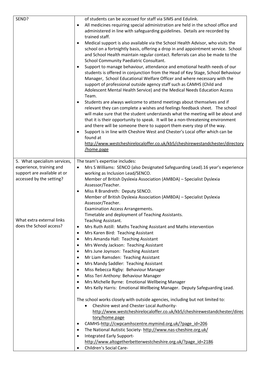| SEND?                        | of students can be accessed for staff via SIMS and Edulink.                                                                                                                 |
|------------------------------|-----------------------------------------------------------------------------------------------------------------------------------------------------------------------------|
|                              | All medicines requiring special administration are held in the school office and<br>$\bullet$<br>administered in line with safeguarding guidelines. Details are recorded by |
|                              | trained staff.                                                                                                                                                              |
|                              | Medical support is also available via the School Health Advisor, who visits the                                                                                             |
|                              | school on a fortnightly basis, offering a drop in and appointment service. School                                                                                           |
|                              | and School Health maintain regular contact. Referrals can also be made to the<br>School Community Paediatric Consultant.                                                    |
|                              | Support to manage behaviour, attendance and emotional health needs of our<br>$\bullet$                                                                                      |
|                              | students is offered in conjunction from the Head of Key Stage, School Behaviour                                                                                             |
|                              | Manager, School Educational Welfare Officer and where necessary with the                                                                                                    |
|                              | support of professional outside agency staff such as CAMHS (Child and                                                                                                       |
|                              | Adolescent Mental Health Service) and the Medical Needs Education Access                                                                                                    |
|                              | Team.                                                                                                                                                                       |
|                              | Students are always welcome to attend meetings about themselves and if                                                                                                      |
|                              | relevant they can complete a wishes and feelings feedback sheet. The school                                                                                                 |
|                              | will make sure that the student understands what the meeting will be about and                                                                                              |
|                              | that it is their opportunity to speak. It will be a non-threatening environment                                                                                             |
|                              | and there will be someone there to support them every step of the way.                                                                                                      |
|                              | Support is in line with Cheshire West and Chester's Local offer which can be<br>$\bullet$<br>found at                                                                       |
|                              | http://www.westcheshirelocaloffer.co.uk/kb5/cheshirewestandchester/directory                                                                                                |
|                              | home.page                                                                                                                                                                   |
|                              |                                                                                                                                                                             |
| 5. What specialism services, | The team's expertise includes:                                                                                                                                              |
| experience, training and     | Mrs S Williams: SENCO (also Designated Safeguarding Lead).16 year's experience<br>$\bullet$                                                                                 |
| support are available at or  | working as Inclusion Lead/SENCO.                                                                                                                                            |
| accessed by the setting?     | Member of British Dyslexia Association (AMBDA) - Specialist Dyslexia<br>Assessor/Teacher.                                                                                   |
|                              | Miss R Brandreth: Deputy SENCO.<br>$\bullet$                                                                                                                                |
|                              | Member of British Dyslexia Association (AMBDA) - Specialist Dyslexia                                                                                                        |
|                              | Assessor/Teacher.                                                                                                                                                           |
|                              | <b>Examination Access Arrangements.</b>                                                                                                                                     |
|                              | Timetable and deployment of Teaching Assistants.                                                                                                                            |
| What extra external links    | Teaching Assistant.                                                                                                                                                         |
| does the School access?      | Mrs Ruth Astill: Maths Teaching Assistant and Maths intervention<br>$\bullet$                                                                                               |
|                              | Mrs Karen Bird: Teaching Assistant<br>٠                                                                                                                                     |
|                              | Mrs Amanda Hall: Teaching Assistant<br>$\bullet$                                                                                                                            |
|                              | Mrs Wendy Jackson: Teaching Assistant<br>٠                                                                                                                                  |
|                              | Mrs June Joynson: Teaching Assistant<br>٠                                                                                                                                   |
|                              | Mr Liam Ramsden: Teaching Assistant<br>٠                                                                                                                                    |
|                              | Mrs Mandy Saddler: Teaching Assistant<br>٠                                                                                                                                  |
|                              | Miss Rebecca Rigby: Behaviour Manager<br>٠                                                                                                                                  |
|                              | Miss Teri Anthony: Behaviour Manager<br>٠                                                                                                                                   |
|                              | Mrs Michelle Byrne: Emotional Wellbeing Manager<br>٠                                                                                                                        |
|                              | Mrs Kelly Harris: Emotional Wellbeing Manager. Deputy Safeguarding Lead.<br>٠                                                                                               |
|                              | The school works closely with outside agencies, including but not limited to:                                                                                               |
|                              | Cheshire west and Chester Local Authority-<br>$\bullet$                                                                                                                     |
|                              | http://www.westcheshirelocaloffer.co.uk/kb5/cheshirewestandchester/direc                                                                                                    |
|                              | tory/home.page                                                                                                                                                              |
|                              | CAMHS-http://cwpcamhscentre.mymind.org.uk/?page_id=206<br>٠                                                                                                                 |
|                              | The National Autistic Society- http://www.nas-cheshire.org.uk/<br>٠                                                                                                         |
|                              | Integrated Early Support-                                                                                                                                                   |
|                              | http://www.altogetherbetterwestcheshire.org.uk/?page_id=2186                                                                                                                |
|                              | Children's Social Care-<br>$\bullet$                                                                                                                                        |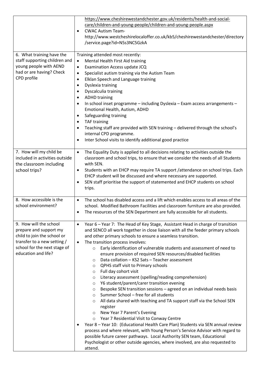|                                | https://www.cheshirewestandchester.gov.uk/residents/health-and-social-                                                         |
|--------------------------------|--------------------------------------------------------------------------------------------------------------------------------|
|                                | care/children-and-young-people/children-and-young-people.aspx                                                                  |
|                                | <b>CWAC Autism Team-</b>                                                                                                       |
|                                | http://www.westcheshirelocaloffer.co.uk/kb5/cheshirewestandchester/directory                                                   |
|                                | /service.page?id=N5s3NC5GzkA                                                                                                   |
|                                |                                                                                                                                |
| 6. What training have the      | Training attended most recently:                                                                                               |
| staff supporting children and  | Mental Health First Aid training<br>$\bullet$                                                                                  |
| young people with AEND         | Examination Access update JCQ<br>$\bullet$                                                                                     |
| had or are having? Check       | Specialist autism training via the Autism Team<br>$\bullet$                                                                    |
| CPD profile                    | Elklan Speech and Language training<br>$\bullet$                                                                               |
|                                | Dyslexia training                                                                                                              |
|                                | Dyscalculia training                                                                                                           |
|                                | <b>ADHD training</b>                                                                                                           |
|                                | In school inset programme - including Dyslexia - Exam access arrangements -                                                    |
|                                | Emotional Health, Autism, ADHD                                                                                                 |
|                                | Safeguarding training                                                                                                          |
|                                | <b>TAF training</b>                                                                                                            |
|                                | Teaching staff are provided with SEN training - delivered through the school's                                                 |
|                                | internal CPD programme.                                                                                                        |
|                                | Inter School visits to identify additional good practice                                                                       |
|                                |                                                                                                                                |
| 7. How will my child be        | The Equality Duty is applied to all decisions relating to activities outside the<br>$\bullet$                                  |
| included in activities outside | classroom and school trips, to ensure that we consider the needs of all Students                                               |
| the classroom including        | with SEN.                                                                                                                      |
| school trips?                  | Students with an EHCP may require TA support /attendance on school trips. Each                                                 |
|                                | EHCP student will be discussed and where necessary are supported.                                                              |
|                                | SEN staff prioritise the support of statemented and EHCP students on school<br>$\bullet$                                       |
|                                | trips.                                                                                                                         |
|                                |                                                                                                                                |
| 8. How accessible is the       | The school has disabled access and a lift which enables access to all areas of the<br>$\bullet$                                |
| school environment?            | school. Modified Bathroom Facilities and classroom furniture are also provided.                                                |
|                                | The resources of the SEN Department are fully accessible for all students.                                                     |
|                                |                                                                                                                                |
| 9. How will the school         | Year 6 - Year 7: The Head of Key Stage, Assistant Head in charge of transition<br>$\bullet$                                    |
| prepare and support my         | and SENCO all work together in close liaison with all the feeder primary schools                                               |
| child to join the school or    | and other primary schools to ensure a seamless transition.                                                                     |
| transfer to a new setting /    | The transition process involves:<br>$\bullet$                                                                                  |
| school for the next stage of   | Early identification of vulnerable students and assessment of need to<br>$\circ$                                               |
| education and life?            | ensure provision of required SEN resources/disabled facilities                                                                 |
|                                | Data collation - KS2 Sats - Teacher assessment<br>$\circ$                                                                      |
|                                | QPHS staff visit to Primary schools<br>$\circ$                                                                                 |
|                                | Full day cohort visit<br>$\circ$                                                                                               |
|                                | Literacy assessment (spelling/reading comprehension)<br>$\circ$                                                                |
|                                | Y6 student/parent/carer transition evening<br>$\circ$<br>Bespoke SEN transition sessions - agreed on an individual needs basis |
|                                | $\circ$<br>Summer School - free for all students<br>$\circ$                                                                    |
|                                | All data shared with teaching and TA support staff via the School SEN<br>$\circ$                                               |
|                                | register                                                                                                                       |
|                                | New Year 7 Parent's Evening<br>$\circ$                                                                                         |
|                                | Year 7 Residential Visit to Conway Centre<br>$\circ$                                                                           |
|                                | Year 8 - Year 10: (Educational Health Care Plan) Students via SEN annual review                                                |
|                                | process and where relevant, with Young Person's Service Advisor with regard to                                                 |
|                                | possible future career pathways. Local Authority SEN team, Educational                                                         |
|                                | Psychologist or other outside agencies, where involved, are also requested to                                                  |
|                                | attend.                                                                                                                        |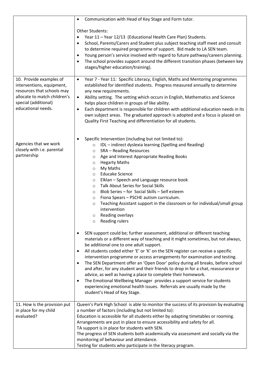|                                                                                                                                                                  | Communication with Head of Key Stage and Form tutor.<br>$\bullet$                                                                                                                                                                                                                                                                                                                                                                                                                                                                                                                                                                                                                                                                                                                                                                                                                                                                                                                                                                                                                                                                                                                                                                                                                                                                                                                                                                                                                                                                                      |
|------------------------------------------------------------------------------------------------------------------------------------------------------------------|--------------------------------------------------------------------------------------------------------------------------------------------------------------------------------------------------------------------------------------------------------------------------------------------------------------------------------------------------------------------------------------------------------------------------------------------------------------------------------------------------------------------------------------------------------------------------------------------------------------------------------------------------------------------------------------------------------------------------------------------------------------------------------------------------------------------------------------------------------------------------------------------------------------------------------------------------------------------------------------------------------------------------------------------------------------------------------------------------------------------------------------------------------------------------------------------------------------------------------------------------------------------------------------------------------------------------------------------------------------------------------------------------------------------------------------------------------------------------------------------------------------------------------------------------------|
|                                                                                                                                                                  | Other Students:<br>Year 11 - Year 12/13 (Educational Health Care Plan) Students.<br>School, Parents/Carers and Student plus subject teaching staff meet and consult<br>to determine required programme of support. Bid made to LA SEN team.<br>Young person's service involved with regard to future pathway/careers planning.<br>$\bullet$<br>The school provides support around the different transition phases (between key<br>$\bullet$<br>stages/higher education/training).                                                                                                                                                                                                                                                                                                                                                                                                                                                                                                                                                                                                                                                                                                                                                                                                                                                                                                                                                                                                                                                                      |
| 10. Provide examples of<br>interventions, equipment,<br>resources that schools may<br>allocate to match children's<br>special (additional)<br>educational needs. | Year 7 - Year 11: Specific Literacy, English, Maths and Mentoring programmes<br>$\bullet$<br>established for identified students. Progress measured annually to determine<br>any new requirements.<br>Ability setting. The setting which occurs in English, Mathematics and Science<br>$\bullet$<br>helps place children in groups of like ability.<br>Each department is responsible for children with additional education needs in its<br>$\bullet$<br>own subject areas. The graduated approach is adopted and a focus is placed on<br>Quality First Teaching and differentiation for all students.                                                                                                                                                                                                                                                                                                                                                                                                                                                                                                                                                                                                                                                                                                                                                                                                                                                                                                                                                |
| Agencies that we work<br>closely with i.e. parental<br>partnership                                                                                               | Specific Intervention (including but not limited to):<br>IDL - indirect dyslexia learning (Spelling and Reading)<br>$\circ$<br><b>SRA - Reading Resources</b><br>$\circ$<br>Age and Interest Appropriate Reading Books<br>$\circ$<br><b>Hegarty Maths</b><br>O<br>My Maths<br>$\circ$<br><b>Educake Science</b><br>$\circ$<br>Elklan - Speech and Language resource book<br>$\circ$<br>Talk About Series for Social Skills<br>$\circ$<br>Blob Series - for Social Skills - Self esteem<br>$\circ$<br>Fiona Spears - PSCHE autism curriculum.<br>$\circ$<br>Teaching Assistant support in the classroom or for individual/small group<br>$\circ$<br>intervention<br>Reading overlays<br>$\circ$<br>Reading rulers<br>$\circ$<br>SEN support could be; further assessment, additional or different teaching<br>materials or a different way of teaching and it might sometimes, but not always,<br>be additional one to one adult support.<br>All students coded either 'E' or 'K' on the SEN register can receive a specific<br>intervention programme or access arrangements for examination and testing.<br>The SEN Department offer an 'Open Door' policy during all breaks, before school<br>$\bullet$<br>and after, for any student and their friends to drop in for a chat, reassurance or<br>advice, as well as having a place to complete their homework.<br>The Emotional Wellbeing Manager provides a support service for students<br>experiencing emotional health issues. Referrals are usually made by the<br>student's Head of Key Stage. |
| 11. How is the provision put<br>in place for my child<br>evaluated?                                                                                              | Queen's Park High School is able to monitor the success of its provision by evaluating<br>a number of factors (including but not limited to):<br>Education is accessible for all students either by adapting timetables or rooming.<br>Arrangements are put in place to ensure accessibility and safety for all.<br>TA support is in place for students with SEN.<br>The progress of SEN students both academically via assessment and socially via the<br>monitoring of behaviour and attendance.<br>Testing for students who participate in the literacy program.                                                                                                                                                                                                                                                                                                                                                                                                                                                                                                                                                                                                                                                                                                                                                                                                                                                                                                                                                                                    |